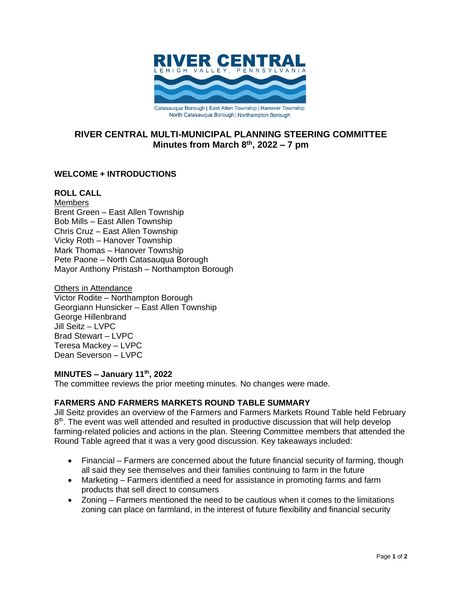

# **RIVER CENTRAL MULTI-MUNICIPAL PLANNING STEERING COMMITTEE Minutes from March 8 th , 2022 – 7 pm**

# **WELCOME + INTRODUCTIONS**

### **ROLL CALL**

**Members** Brent Green – East Allen Township Bob Mills – East Allen Township Chris Cruz – East Allen Township Vicky Roth – Hanover Township Mark Thomas – Hanover Township Pete Paone – North Catasauqua Borough Mayor Anthony Pristash – Northampton Borough

Others in Attendance Victor Rodite – Northampton Borough Georgiann Hunsicker – East Allen Township George Hillenbrand Jill Seitz – LVPC Brad Stewart – LVPC Teresa Mackey – LVPC Dean Severson – LVPC

#### **MINUTES – January 11th , 2022**

The committee reviews the prior meeting minutes. No changes were made.

## **FARMERS AND FARMERS MARKETS ROUND TABLE SUMMARY**

Jill Seitz provides an overview of the Farmers and Farmers Markets Round Table held February 8<sup>th</sup>. The event was well attended and resulted in productive discussion that will help develop farming-related policies and actions in the plan. Steering Committee members that attended the Round Table agreed that it was a very good discussion. Key takeaways included:

- Financial Farmers are concerned about the future financial security of farming, though all said they see themselves and their families continuing to farm in the future
- Marketing Farmers identified a need for assistance in promoting farms and farm products that sell direct to consumers
- Zoning Farmers mentioned the need to be cautious when it comes to the limitations zoning can place on farmland, in the interest of future flexibility and financial security